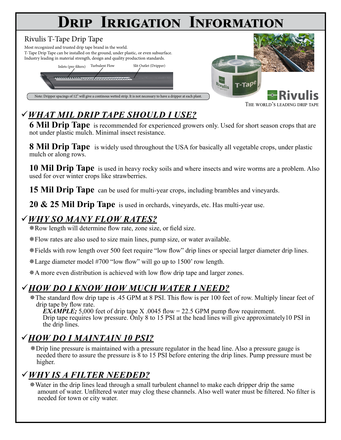# **Drip Irrigation Information**

#### Rivulis T-Tape Drip Tape

Most recognized and trusted drip tape brand in the world. T-Tape Drip Tape can be installed on the ground, under plastic, or even subsurface. Industry leading in material strength, design and quality production standards.





THE WORLD'S LEADING DRIP TAP

## ü*What mil Drip Tape Should I Use?*

**6 Mil Drip Tape** is recommended for experienced growers only. Used for short season crops that are not under plastic mulch. Minimal insect resistance.

**8 Mil Drip Tape** is widely used throughout the USA for basically all vegetable crops, under plastic mulch or along rows.

**10 Mil Drip Tape** is used in heavy rocky soils and where insects and wire worms are a problem. Also used for over winter crops like strawberries.

**15 Mil Drip Tape** can be used for multi-year crops, including brambles and vineyards.

**20 & 25 Mil Drip Tape** is used in orchards, vineyards, etc. Has multi-year use.

#### ü*Why So Many Flow Rates?*

¯Row length will determine flow rate, zone size, or field size.

¯Flow rates are also used to size main lines, pump size, or water available.

¯Fields with row length over 500 feet require "low flow" drip lines or special larger diameter drip lines.

¯Large diameter model #700 "low flow" will go up to 1500' row length.

¯A more even distribution is achieved with low flow drip tape and larger zones.

#### ü*How Do I Know How Much Water I Need?*

¯The standard flow drip tape is .45 GPM at 8 PSI. This flow is per 100 feet of row. Multiply linear feet of drip tape by flow rate.

*EXAMPLE*; 5,000 feet of drip tape X .0045 flow = 22.5 GPM pump flow requirement. Drip tape requires low pressure. Only 8 to 15 PSI at the head lines will give approximately10 PSI in the drip lines.

### ü*How Do I Maintain 10 PSI?*

¯Drip line pressure is maintained with a pressure regulator in the head line. Also a pressure gauge is needed there to assure the pressure is 8 to 15 PSI before entering the drip lines. Pump pressure must be higher.

### ü*Why Is a Filter Needed?*

¯Water in the drip lines lead through a small turbulent channel to make each dripper drip the same amount of water. Unfiltered water may clog these channels. Also well water must be filtered. No filter is needed for town or city water.